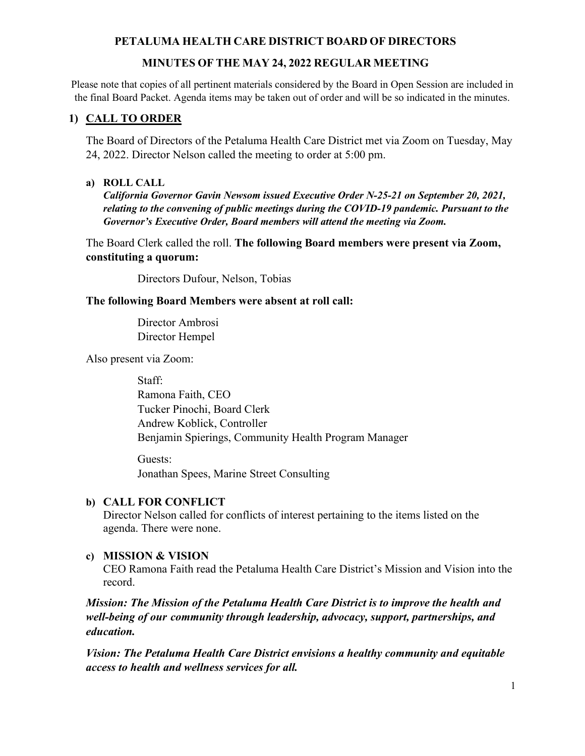# **MINUTES OF THE MAY 24, 2022 REGULAR MEETING**

Please note that copies of all pertinent materials considered by the Board in Open Session are included in the final Board Packet. Agenda items may be taken out of order and will be so indicated in the minutes.

# **1) CALL TO ORDER**

The Board of Directors of the Petaluma Health Care District met via Zoom on Tuesday, May 24, 2022. Director Nelson called the meeting to order at 5:00 pm.

# **a) ROLL CALL**

*California Governor Gavin Newsom issued Executive Order N-25-21 on September 20, 2021, relating to the convening of public meetings during the COVID-19 pandemic. Pursuant to the Governor's Executive Order, Board members will attend the meeting via Zoom.*

The Board Clerk called the roll. **The following Board members were present via Zoom, constituting a quorum:**

Directors Dufour, Nelson, Tobias

### **The following Board Members were absent at roll call:**

 Director Ambrosi Director Hempel

Also present via Zoom:

 Staff: Ramona Faith, CEO Tucker Pinochi, Board Clerk Andrew Koblick, Controller Benjamin Spierings, Community Health Program Manager

Guests: Jonathan Spees, Marine Street Consulting

# **b) CALL FOR CONFLICT**

Director Nelson called for conflicts of interest pertaining to the items listed on the agenda. There were none.

# **c) MISSION & VISION**

CEO Ramona Faith read the Petaluma Health Care District's Mission and Vision into the record.

*Mission: The Mission of the Petaluma Health Care District is to improve the health and well-being of our community through leadership, advocacy, support, partnerships, and education.*

*Vision: The Petaluma Health Care District envisions a healthy community and equitable access to health and wellness services for all.*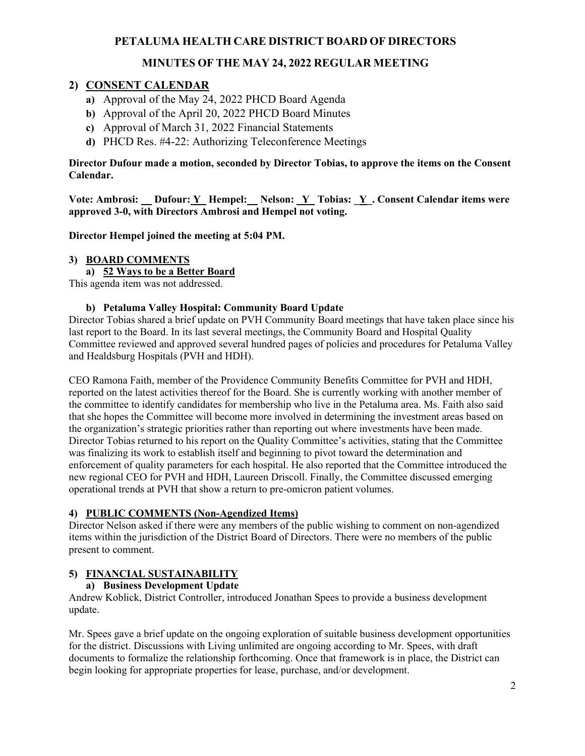# **MINUTES OF THE MAY 24, 2022 REGULAR MEETING**

### **2) CONSENT CALENDAR**

- **a)** Approval of the May 24, 2022 PHCD Board Agenda
- **b)** Approval of the April 20, 2022 PHCD Board Minutes
- **c)** Approval of March 31, 2022 Financial Statements
- **d)** PHCD Res. #4-22: Authorizing Teleconference Meetings

#### **Director Dufour made a motion, seconded by Director Tobias, to approve the items on the Consent Calendar.**

Vote: Ambrosi: Dufour: Y\_ Hempel: \_ Nelson: Y\_ Tobias: Y\_. Consent Calendar items were **approved 3-0, with Directors Ambrosi and Hempel not voting.** 

**Director Hempel joined the meeting at 5:04 PM.** 

#### **3) BOARD COMMENTS**

#### **a) 52 Ways to be a Better Board**

This agenda item was not addressed.

#### **b) Petaluma Valley Hospital: Community Board Update**

Director Tobias shared a brief update on PVH Community Board meetings that have taken place since his last report to the Board. In its last several meetings, the Community Board and Hospital Quality Committee reviewed and approved several hundred pages of policies and procedures for Petaluma Valley and Healdsburg Hospitals (PVH and HDH).

CEO Ramona Faith, member of the Providence Community Benefits Committee for PVH and HDH, reported on the latest activities thereof for the Board. She is currently working with another member of the committee to identify candidates for membership who live in the Petaluma area. Ms. Faith also said that she hopes the Committee will become more involved in determining the investment areas based on the organization's strategic priorities rather than reporting out where investments have been made. Director Tobias returned to his report on the Quality Committee's activities, stating that the Committee was finalizing its work to establish itself and beginning to pivot toward the determination and enforcement of quality parameters for each hospital. He also reported that the Committee introduced the new regional CEO for PVH and HDH, Laureen Driscoll. Finally, the Committee discussed emerging operational trends at PVH that show a return to pre-omicron patient volumes.

#### **4) PUBLIC COMMENTS (Non-Agendized Items)**

Director Nelson asked if there were any members of the public wishing to comment on non-agendized items within the jurisdiction of the District Board of Directors. There were no members of the public present to comment.

#### **5) FINANCIAL SUSTAINABILITY**

#### **a) Business Development Update**

Andrew Koblick, District Controller, introduced Jonathan Spees to provide a business development update.

Mr. Spees gave a brief update on the ongoing exploration of suitable business development opportunities for the district. Discussions with Living unlimited are ongoing according to Mr. Spees, with draft documents to formalize the relationship forthcoming. Once that framework is in place, the District can begin looking for appropriate properties for lease, purchase, and/or development.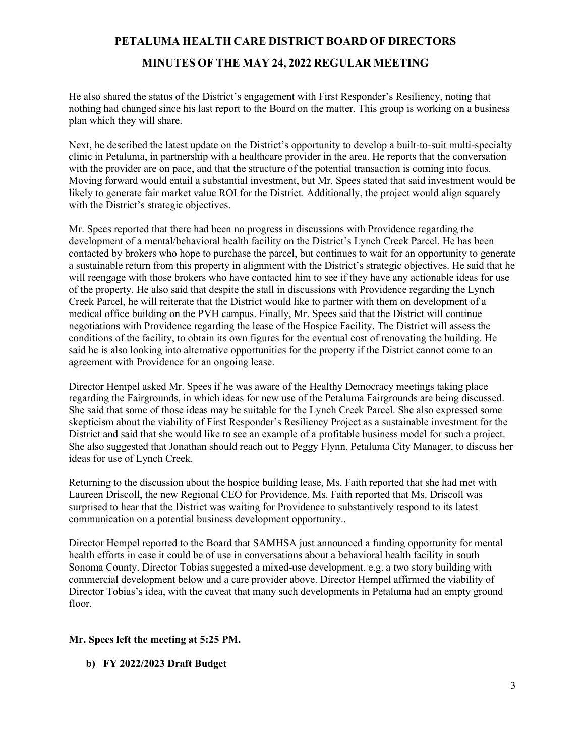**MINUTES OF THE MAY 24, 2022 REGULAR MEETING**

He also shared the status of the District's engagement with First Responder's Resiliency, noting that nothing had changed since his last report to the Board on the matter. This group is working on a business plan which they will share.

Next, he described the latest update on the District's opportunity to develop a built-to-suit multi-specialty clinic in Petaluma, in partnership with a healthcare provider in the area. He reports that the conversation with the provider are on pace, and that the structure of the potential transaction is coming into focus. Moving forward would entail a substantial investment, but Mr. Spees stated that said investment would be likely to generate fair market value ROI for the District. Additionally, the project would align squarely with the District's strategic objectives.

Mr. Spees reported that there had been no progress in discussions with Providence regarding the development of a mental/behavioral health facility on the District's Lynch Creek Parcel. He has been contacted by brokers who hope to purchase the parcel, but continues to wait for an opportunity to generate a sustainable return from this property in alignment with the District's strategic objectives. He said that he will reengage with those brokers who have contacted him to see if they have any actionable ideas for use of the property. He also said that despite the stall in discussions with Providence regarding the Lynch Creek Parcel, he will reiterate that the District would like to partner with them on development of a medical office building on the PVH campus. Finally, Mr. Spees said that the District will continue negotiations with Providence regarding the lease of the Hospice Facility. The District will assess the conditions of the facility, to obtain its own figures for the eventual cost of renovating the building. He said he is also looking into alternative opportunities for the property if the District cannot come to an agreement with Providence for an ongoing lease.

Director Hempel asked Mr. Spees if he was aware of the Healthy Democracy meetings taking place regarding the Fairgrounds, in which ideas for new use of the Petaluma Fairgrounds are being discussed. She said that some of those ideas may be suitable for the Lynch Creek Parcel. She also expressed some skepticism about the viability of First Responder's Resiliency Project as a sustainable investment for the District and said that she would like to see an example of a profitable business model for such a project. She also suggested that Jonathan should reach out to Peggy Flynn, Petaluma City Manager, to discuss her ideas for use of Lynch Creek.

Returning to the discussion about the hospice building lease, Ms. Faith reported that she had met with Laureen Driscoll, the new Regional CEO for Providence. Ms. Faith reported that Ms. Driscoll was surprised to hear that the District was waiting for Providence to substantively respond to its latest communication on a potential business development opportunity..

Director Hempel reported to the Board that SAMHSA just announced a funding opportunity for mental health efforts in case it could be of use in conversations about a behavioral health facility in south Sonoma County. Director Tobias suggested a mixed-use development, e.g. a two story building with commercial development below and a care provider above. Director Hempel affirmed the viability of Director Tobias's idea, with the caveat that many such developments in Petaluma had an empty ground floor.

### **Mr. Spees left the meeting at 5:25 PM.**

**b) FY 2022/2023 Draft Budget**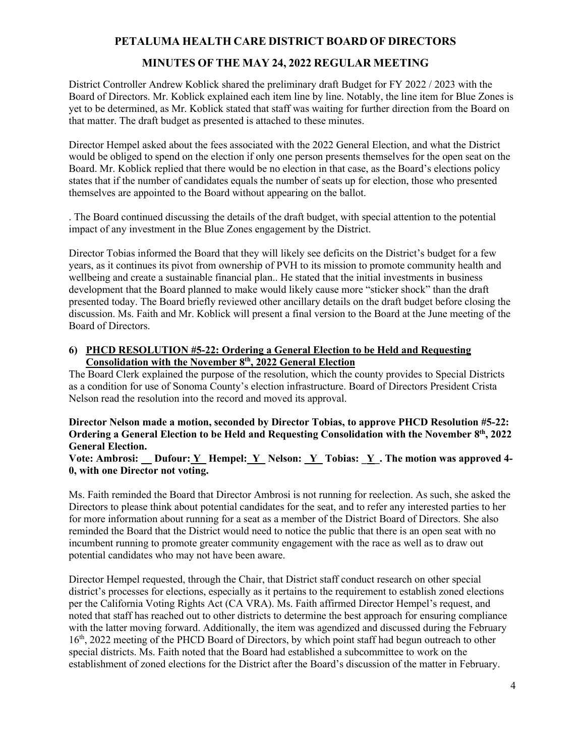# **MINUTES OF THE MAY 24, 2022 REGULAR MEETING**

District Controller Andrew Koblick shared the preliminary draft Budget for FY 2022 / 2023 with the Board of Directors. Mr. Koblick explained each item line by line. Notably, the line item for Blue Zones is yet to be determined, as Mr. Koblick stated that staff was waiting for further direction from the Board on that matter. The draft budget as presented is attached to these minutes.

Director Hempel asked about the fees associated with the 2022 General Election, and what the District would be obliged to spend on the election if only one person presents themselves for the open seat on the Board. Mr. Koblick replied that there would be no election in that case, as the Board's elections policy states that if the number of candidates equals the number of seats up for election, those who presented themselves are appointed to the Board without appearing on the ballot.

. The Board continued discussing the details of the draft budget, with special attention to the potential impact of any investment in the Blue Zones engagement by the District.

Director Tobias informed the Board that they will likely see deficits on the District's budget for a few years, as it continues its pivot from ownership of PVH to its mission to promote community health and wellbeing and create a sustainable financial plan.. He stated that the initial investments in business development that the Board planned to make would likely cause more "sticker shock" than the draft presented today. The Board briefly reviewed other ancillary details on the draft budget before closing the discussion. Ms. Faith and Mr. Koblick will present a final version to the Board at the June meeting of the Board of Directors.

#### **6) PHCD RESOLUTION #5-22: Ordering a General Election to be Held and Requesting Consolidation with the November 8th, 2022 General Election**

The Board Clerk explained the purpose of the resolution, which the county provides to Special Districts as a condition for use of Sonoma County's election infrastructure. Board of Directors President Crista Nelson read the resolution into the record and moved its approval.

**Director Nelson made a motion, seconded by Director Tobias, to approve PHCD Resolution #5-22: Ordering a General Election to be Held and Requesting Consolidation with the November 8th, 2022 General Election.** 

**Vote: Ambrosi: \_ Dufour: Y\_ Hempel: Y\_ Nelson: \_Y\_ Tobias: \_Y\_. The motion was approved 4- 0, with one Director not voting.**

Ms. Faith reminded the Board that Director Ambrosi is not running for reelection. As such, she asked the Directors to please think about potential candidates for the seat, and to refer any interested parties to her for more information about running for a seat as a member of the District Board of Directors. She also reminded the Board that the District would need to notice the public that there is an open seat with no incumbent running to promote greater community engagement with the race as well as to draw out potential candidates who may not have been aware.

Director Hempel requested, through the Chair, that District staff conduct research on other special district's processes for elections, especially as it pertains to the requirement to establish zoned elections per the California Voting Rights Act (CA VRA). Ms. Faith affirmed Director Hempel's request, and noted that staff has reached out to other districts to determine the best approach for ensuring compliance with the latter moving forward. Additionally, the item was agendized and discussed during the February 16<sup>th</sup>, 2022 meeting of the PHCD Board of Directors, by which point staff had begun outreach to other special districts. Ms. Faith noted that the Board had established a subcommittee to work on the establishment of zoned elections for the District after the Board's discussion of the matter in February.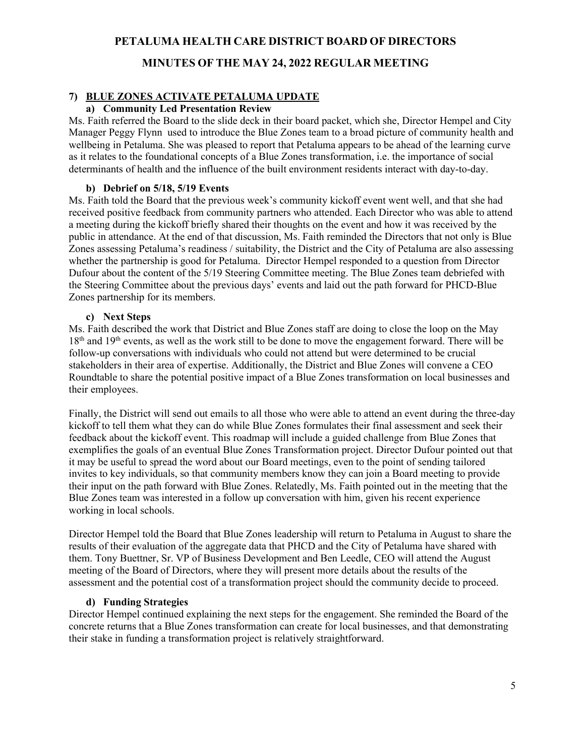### **MINUTES OF THE MAY 24, 2022 REGULAR MEETING**

#### **7) BLUE ZONES ACTIVATE PETALUMA UPDATE**

#### **a) Community Led Presentation Review**

Ms. Faith referred the Board to the slide deck in their board packet, which she, Director Hempel and City Manager Peggy Flynn used to introduce the Blue Zones team to a broad picture of community health and wellbeing in Petaluma. She was pleased to report that Petaluma appears to be ahead of the learning curve as it relates to the foundational concepts of a Blue Zones transformation, i.e. the importance of social determinants of health and the influence of the built environment residents interact with day-to-day.

#### **b) Debrief on 5/18, 5/19 Events**

Ms. Faith told the Board that the previous week's community kickoff event went well, and that she had received positive feedback from community partners who attended. Each Director who was able to attend a meeting during the kickoff briefly shared their thoughts on the event and how it was received by the public in attendance. At the end of that discussion, Ms. Faith reminded the Directors that not only is Blue Zones assessing Petaluma's readiness / suitability, the District and the City of Petaluma are also assessing whether the partnership is good for Petaluma. Director Hempel responded to a question from Director Dufour about the content of the 5/19 Steering Committee meeting. The Blue Zones team debriefed with the Steering Committee about the previous days' events and laid out the path forward for PHCD-Blue Zones partnership for its members.

#### **c) Next Steps**

Ms. Faith described the work that District and Blue Zones staff are doing to close the loop on the May 18<sup>th</sup> and 19<sup>th</sup> events, as well as the work still to be done to move the engagement forward. There will be follow-up conversations with individuals who could not attend but were determined to be crucial stakeholders in their area of expertise. Additionally, the District and Blue Zones will convene a CEO Roundtable to share the potential positive impact of a Blue Zones transformation on local businesses and their employees.

Finally, the District will send out emails to all those who were able to attend an event during the three-day kickoff to tell them what they can do while Blue Zones formulates their final assessment and seek their feedback about the kickoff event. This roadmap will include a guided challenge from Blue Zones that exemplifies the goals of an eventual Blue Zones Transformation project. Director Dufour pointed out that it may be useful to spread the word about our Board meetings, even to the point of sending tailored invites to key individuals, so that community members know they can join a Board meeting to provide their input on the path forward with Blue Zones. Relatedly, Ms. Faith pointed out in the meeting that the Blue Zones team was interested in a follow up conversation with him, given his recent experience working in local schools.

Director Hempel told the Board that Blue Zones leadership will return to Petaluma in August to share the results of their evaluation of the aggregate data that PHCD and the City of Petaluma have shared with them. Tony Buettner, Sr. VP of Business Development and Ben Leedle, CEO will attend the August meeting of the Board of Directors, where they will present more details about the results of the assessment and the potential cost of a transformation project should the community decide to proceed.

#### **d) Funding Strategies**

Director Hempel continued explaining the next steps for the engagement. She reminded the Board of the concrete returns that a Blue Zones transformation can create for local businesses, and that demonstrating their stake in funding a transformation project is relatively straightforward.